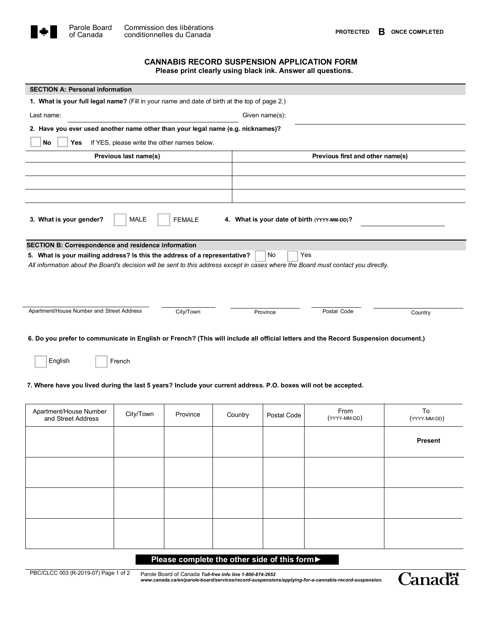

## CANNABIS **RECORD SUSPENSION APPLICATION FORM Please print clearly using** blackink. A**nswer all questions.**

| <b>SECTION A: Personal information</b>                                                                                                                  |           |           |         |                                  |                      |                    |  |  |
|---------------------------------------------------------------------------------------------------------------------------------------------------------|-----------|-----------|---------|----------------------------------|----------------------|--------------------|--|--|
| 1. What is your full legal name? (Fill in your name and date of birth at the top of page 2.)                                                            |           |           |         |                                  |                      |                    |  |  |
| Last name:<br>Given name(s):                                                                                                                            |           |           |         |                                  |                      |                    |  |  |
| 2. Have you ever used another name other than your legal name (e.g. nicknames)?                                                                         |           |           |         |                                  |                      |                    |  |  |
| No<br>Yes<br>If YES, please write the other names below.                                                                                                |           |           |         |                                  |                      |                    |  |  |
| Previous last name(s)                                                                                                                                   |           |           |         | Previous first and other name(s) |                      |                    |  |  |
|                                                                                                                                                         |           |           |         |                                  |                      |                    |  |  |
|                                                                                                                                                         |           |           |         |                                  |                      |                    |  |  |
|                                                                                                                                                         |           |           |         |                                  |                      |                    |  |  |
| MALE<br>3. What is your gender?<br><b>FEMALE</b><br>4. What is your date of birth (YYYY-MM-DD)?                                                         |           |           |         |                                  |                      |                    |  |  |
| <b>SECTION B: Correspondence and residence information</b>                                                                                              |           |           |         |                                  |                      |                    |  |  |
| 5. What is your mailing address? Is this the address of a representative?                                                                               |           |           |         | Yes<br><b>No</b>                 |                      |                    |  |  |
| All information about the Board's decision will be sent to this address except in cases where the Board must contact you directly.                      |           |           |         |                                  |                      |                    |  |  |
|                                                                                                                                                         |           |           |         |                                  |                      |                    |  |  |
| Apartment/House Number and Street Address                                                                                                               |           | City/Town |         | Province                         | Postal Code          | Country            |  |  |
| 6. Do you prefer to communicate in English or French? (This will include all official letters and the Record Suspension document.)<br>English<br>French |           |           |         |                                  |                      |                    |  |  |
|                                                                                                                                                         |           |           |         |                                  |                      |                    |  |  |
| 7. Where have you lived during the last 5 years? Include your current address. P.O. boxes will not be accepted.                                         |           |           |         |                                  |                      |                    |  |  |
| Apartment/House Number<br>and Street Address                                                                                                            | City/Town | Province  | Country | Postal Code                      | From<br>(YYYY-MM-DD) | To<br>(YYYY-MM-DD) |  |  |
|                                                                                                                                                         |           |           |         |                                  |                      | <b>Present</b>     |  |  |
|                                                                                                                                                         |           |           |         |                                  |                      |                    |  |  |
|                                                                                                                                                         |           |           |         |                                  |                      |                    |  |  |

### Please complete the other side of this form▶

PBC/CLCC 003 (R-2019-07) Page 1 of 2 Parole Board of Canada *Toll-free Info line 1-800-874-2652 www.canada.ca/en/parole-board/services/record-suspensions/applying-for-a-cannabis-record-suspension.*